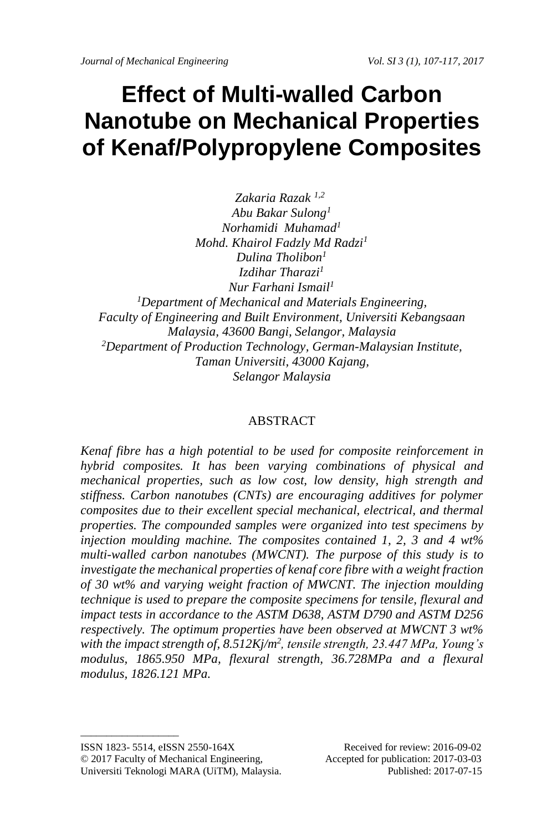# **Effect of Multi-walled Carbon Nanotube on Mechanical Properties of Kenaf/Polypropylene Composites**

*Zakaria Razak 1,2 Abu Bakar Sulong<sup>1</sup> Norhamidi Muhamad<sup>1</sup> Mohd. Khairol Fadzly Md Radzi<sup>1</sup> Dulina Tholibon<sup>1</sup> Izdihar Tharazi<sup>1</sup> Nur Farhani Ismail<sup>1</sup> <sup>1</sup>Department of Mechanical and Materials Engineering, Faculty of Engineering and Built Environment, Universiti Kebangsaan Malaysia, 43600 Bangi, Selangor, Malaysia <sup>2</sup>Department of Production Technology, German-Malaysian Institute, Taman Universiti, 43000 Kajang, Selangor Malaysia*

### ABSTRACT

*Kenaf fibre has a high potential to be used for composite reinforcement in hybrid composites. It has been varying combinations of physical and mechanical properties, such as low cost, low density, high strength and stiffness. Carbon nanotubes (CNTs) are encouraging additives for polymer composites due to their excellent special mechanical, electrical, and thermal properties. The compounded samples were organized into test specimens by injection moulding machine. The composites contained 1, 2, 3 and 4 wt% multi-walled carbon nanotubes (MWCNT). The purpose of this study is to investigate the mechanical properties of kenaf core fibre with a weight fraction of 30 wt% and varying weight fraction of MWCNT. The injection moulding technique is used to prepare the composite specimens for tensile, flexural and impact tests in accordance to the ASTM D638, ASTM D790 and ASTM D256 respectively. The optimum properties have been observed at MWCNT 3 wt%*  with the impact strength of, 8.512Kj/m<sup>2</sup>, tensile strength, 23.447 MPa, Young's *modulus, 1865.950 MPa, flexural strength, 36.728MPa and a flexural modulus, 1826.121 MPa.*

ISSN 1823- 5514, eISSN 2550-164X Received for review: 2016-09-02 © 2017 Faculty of Mechanical Engineering, Accepted for publication: 2017-03-03 Universiti Teknologi MARA (UiTM), Malaysia. Published: 2017-07-15

 $\_$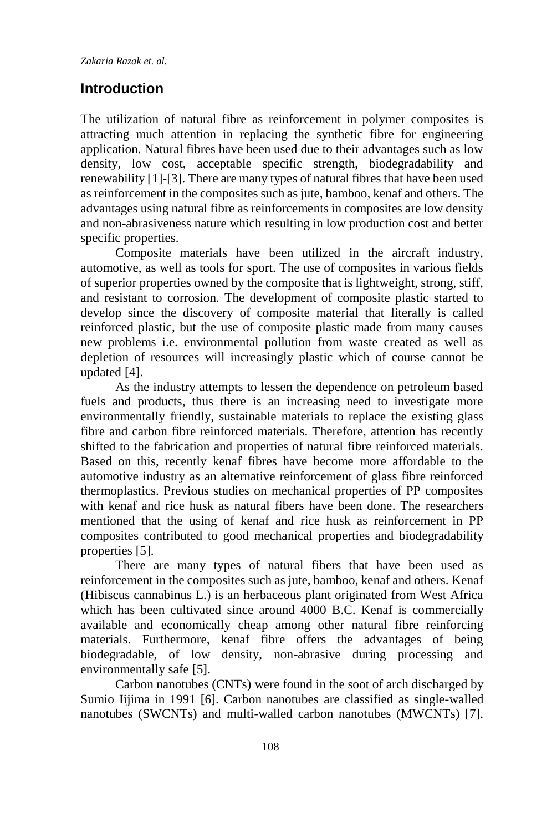## **Introduction**

The utilization of natural fibre as reinforcement in polymer composites is attracting much attention in replacing the synthetic fibre for engineering application. Natural fibres have been used due to their advantages such as low density, low cost, acceptable specific strength, biodegradability and renewability [1]-[3]. There are many types of natural fibres that have been used as reinforcement in the composites such as jute, bamboo, kenaf and others. The advantages using natural fibre as reinforcements in composites are low density and non-abrasiveness nature which resulting in low production cost and better specific properties.

Composite materials have been utilized in the aircraft industry, automotive, as well as tools for sport. The use of composites in various fields of superior properties owned by the composite that is lightweight, strong, stiff, and resistant to corrosion. The development of composite plastic started to develop since the discovery of composite material that literally is called reinforced plastic, but the use of composite plastic made from many causes new problems i.e. environmental pollution from waste created as well as depletion of resources will increasingly plastic which of course cannot be updated [4].

As the industry attempts to lessen the dependence on petroleum based fuels and products, thus there is an increasing need to investigate more environmentally friendly, sustainable materials to replace the existing glass fibre and carbon fibre reinforced materials. Therefore, attention has recently shifted to the fabrication and properties of natural fibre reinforced materials. Based on this, recently kenaf fibres have become more affordable to the automotive industry as an alternative reinforcement of glass fibre reinforced thermoplastics. Previous studies on mechanical properties of PP composites with kenaf and rice husk as natural fibers have been done. The researchers mentioned that the using of kenaf and rice husk as reinforcement in PP composites contributed to good mechanical properties and biodegradability properties [5].

There are many types of natural fibers that have been used as reinforcement in the composites such as jute, bamboo, kenaf and others. Kenaf (Hibiscus cannabinus L.) is an herbaceous plant originated from West Africa which has been cultivated since around 4000 B.C. Kenaf is commercially available and economically cheap among other natural fibre reinforcing materials. Furthermore, kenaf fibre offers the advantages of being biodegradable, of low density, non-abrasive during processing and environmentally safe [5].

Carbon nanotubes (CNTs) were found in the soot of arch discharged by Sumio Iijima in 1991 [6]. Carbon nanotubes are classified as single-walled nanotubes (SWCNTs) and multi-walled carbon nanotubes (MWCNTs) [7].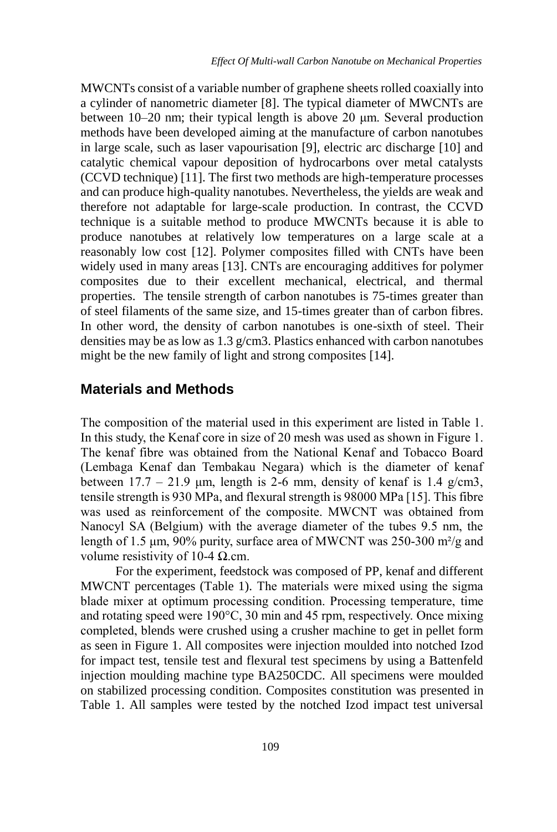MWCNTs consist of a variable number of graphene sheets rolled coaxially into a cylinder of nanometric diameter [8]. The typical diameter of MWCNTs are between 10–20 nm; their typical length is above 20 μm. Several production methods have been developed aiming at the manufacture of carbon nanotubes in large scale, such as laser vapourisation [9], electric arc discharge [10] and catalytic chemical vapour deposition of hydrocarbons over metal catalysts (CCVD technique) [11]. The first two methods are high-temperature processes and can produce high-quality nanotubes. Nevertheless, the yields are weak and therefore not adaptable for large-scale production. In contrast, the CCVD technique is a suitable method to produce MWCNTs because it is able to produce nanotubes at relatively low temperatures on a large scale at a reasonably low cost [12]. Polymer composites filled with CNTs have been widely used in many areas [13]. CNTs are encouraging additives for polymer composites due to their excellent mechanical, electrical, and thermal properties. The tensile strength of carbon nanotubes is 75-times greater than of steel filaments of the same size, and 15-times greater than of carbon fibres. In other word, the density of carbon nanotubes is one-sixth of steel. Their densities may be as low as 1.3 g/cm3. Plastics enhanced with carbon nanotubes might be the new family of light and strong composites [14].

## **Materials and Methods**

The composition of the material used in this experiment are listed in Table 1. In this study, the Kenaf core in size of 20 mesh was used as shown in Figure 1. The kenaf fibre was obtained from the National Kenaf and Tobacco Board (Lembaga Kenaf dan Tembakau Negara) which is the diameter of kenaf between  $17.7 - 21.9$  μm, length is 2-6 mm, density of kenaf is 1.4 g/cm3, tensile strength is 930 MPa, and flexural strength is 98000 MPa [15]. This fibre was used as reinforcement of the composite. MWCNT was obtained from Nanocyl SA (Belgium) with the average diameter of the tubes 9.5 nm, the length of 1.5 μm, 90% purity, surface area of MWCNT was 250-300 m²/g and volume resistivity of 10-4 Ω.cm.

For the experiment, feedstock was composed of PP, kenaf and different MWCNT percentages (Table 1). The materials were mixed using the sigma blade mixer at optimum processing condition. Processing temperature, time and rotating speed were 190°C, 30 min and 45 rpm, respectively. Once mixing completed, blends were crushed using a crusher machine to get in pellet form as seen in Figure 1. All composites were injection moulded into notched Izod for impact test, tensile test and flexural test specimens by using a Battenfeld injection moulding machine type BA250CDC. All specimens were moulded on stabilized processing condition. Composites constitution was presented in Table 1. All samples were tested by the notched Izod impact test universal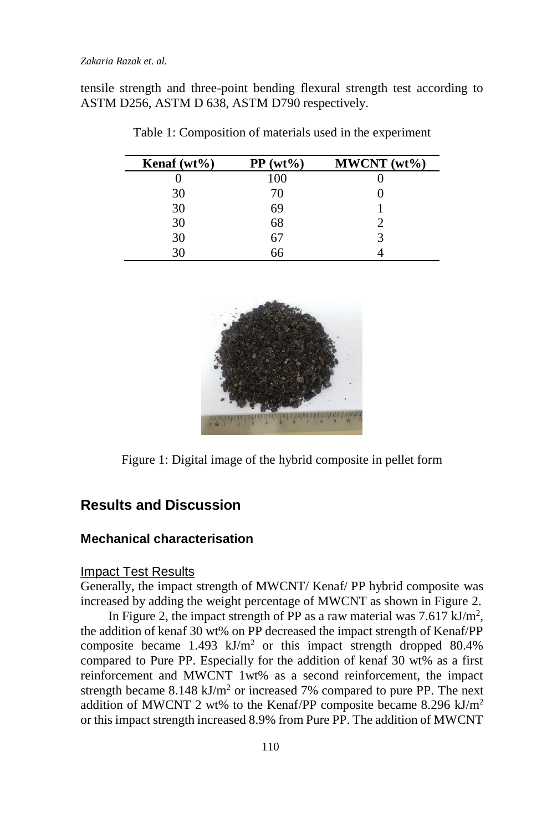tensile strength and three-point bending flexural strength test according to ASTM D256, ASTM D 638, ASTM D790 respectively.

| Kenaf $(wt\%)$ | $PP(wt\%)$ | $MWCNT (wt\%)$ |
|----------------|------------|----------------|
|                | 100        |                |
| 30             | 70         |                |
| 30             | 69         |                |
| 30             | 68         |                |
| 30             | 67         |                |
| 30             | 66         |                |

Table 1: Composition of materials used in the experiment



Figure 1: Digital image of the hybrid composite in pellet form

## **Results and Discussion**

## **Mechanical characterisation**

#### Impact Test Results

Generally, the impact strength of MWCNT/ Kenaf/ PP hybrid composite was increased by adding the weight percentage of MWCNT as shown in Figure 2.

In Figure 2, the impact strength of PP as a raw material was  $7.617 \text{ kJ/m}^2$ , the addition of kenaf 30 wt% on PP decreased the impact strength of Kenaf/PP composite became  $1.493 \text{ kJ/m}^2$  or this impact strength dropped 80.4% compared to Pure PP. Especially for the addition of kenaf 30 wt% as a first reinforcement and MWCNT 1wt% as a second reinforcement, the impact strength became  $8.148 \text{ kJ/m}^2$  or increased 7% compared to pure PP. The next addition of MWCNT 2 wt% to the Kenaf/PP composite became 8.296 kJ/m<sup>2</sup> or this impact strength increased 8.9% from Pure PP. The addition of MWCNT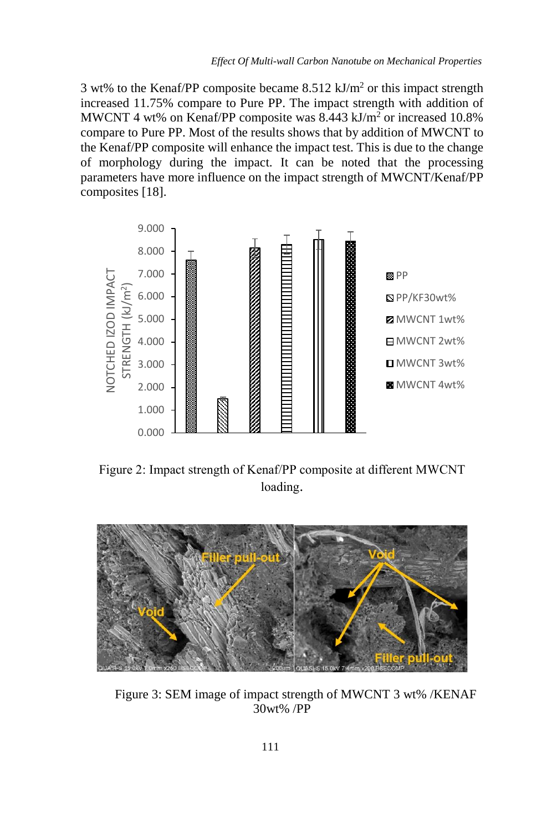3 wt% to the Kenaf/PP composite became  $8.512 \text{ kJ/m}^2$  or this impact strength increased 11.75% compare to Pure PP. The impact strength with addition of MWCNT 4 wt% on Kenaf/PP composite was 8.443 kJ/m<sup>2</sup> or increased 10.8% compare to Pure PP. Most of the results shows that by addition of MWCNT to the Kenaf/PP composite will enhance the impact test. This is due to the change of morphology during the impact. It can be noted that the processing parameters have more influence on the impact strength of MWCNT/Kenaf/PP composites [18].



Figure 2: Impact strength of Kenaf/PP composite at different MWCNT loading.



Figure 3: SEM image of impact strength of MWCNT 3 wt% /KENAF 30wt% /PP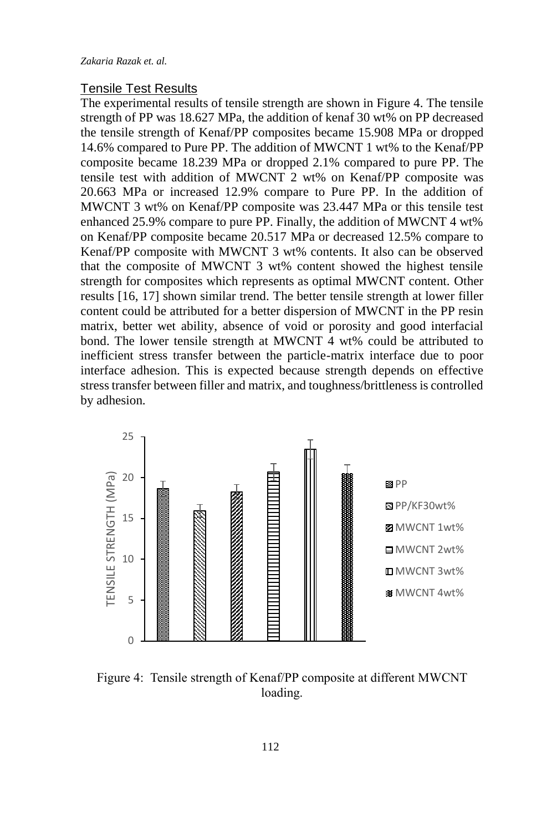#### Tensile Test Results

The experimental results of tensile strength are shown in Figure 4. The tensile strength of PP was 18.627 MPa, the addition of kenaf 30 wt% on PP decreased the tensile strength of Kenaf/PP composites became 15.908 MPa or dropped 14.6% compared to Pure PP. The addition of MWCNT 1 wt% to the Kenaf/PP composite became 18.239 MPa or dropped 2.1% compared to pure PP. The tensile test with addition of MWCNT 2 wt% on Kenaf/PP composite was 20.663 MPa or increased 12.9% compare to Pure PP. In the addition of MWCNT 3 wt% on Kenaf/PP composite was 23.447 MPa or this tensile test enhanced 25.9% compare to pure PP. Finally, the addition of MWCNT 4 wt% on Kenaf/PP composite became 20.517 MPa or decreased 12.5% compare to Kenaf/PP composite with MWCNT 3 wt% contents. It also can be observed that the composite of MWCNT 3 wt% content showed the highest tensile strength for composites which represents as optimal MWCNT content. Other results [16, 17] shown similar trend. The better tensile strength at lower filler content could be attributed for a better dispersion of MWCNT in the PP resin matrix, better wet ability, absence of void or porosity and good interfacial bond. The lower tensile strength at MWCNT 4 wt% could be attributed to inefficient stress transfer between the particle-matrix interface due to poor interface adhesion. This is expected because strength depends on effective stress transfer between filler and matrix, and toughness/brittleness is controlled by adhesion.



Figure 4: Tensile strength of Kenaf/PP composite at different MWCNT loading.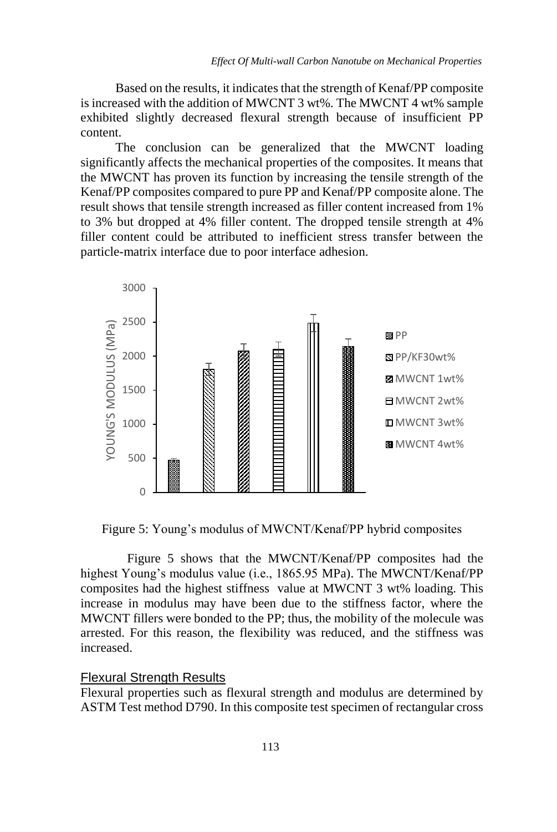Based on the results, it indicates that the strength of Kenaf/PP composite is increased with the addition of MWCNT 3 wt%. The MWCNT 4 wt% sample exhibited slightly decreased flexural strength because of insufficient PP content.

The conclusion can be generalized that the MWCNT loading significantly affects the mechanical properties of the composites. It means that the MWCNT has proven its function by increasing the tensile strength of the Kenaf/PP composites compared to pure PP and Kenaf/PP composite alone. The result shows that tensile strength increased as filler content increased from 1% to 3% but dropped at 4% filler content. The dropped tensile strength at 4% filler content could be attributed to inefficient stress transfer between the particle-matrix interface due to poor interface adhesion.



Figure 5: Young's modulus of MWCNT/Kenaf/PP hybrid composites

Figure 5 shows that the MWCNT/Kenaf/PP composites had the highest Young's modulus value (i.e., 1865.95 MPa). The MWCNT/Kenaf/PP composites had the highest stiffness value at MWCNT 3 wt% loading. This increase in modulus may have been due to the stiffness factor, where the MWCNT fillers were bonded to the PP; thus, the mobility of the molecule was arrested. For this reason, the flexibility was reduced, and the stiffness was increased.

#### Flexural Strength Results

Flexural properties such as flexural strength and modulus are determined by ASTM Test method D790. In this composite test specimen of rectangular cross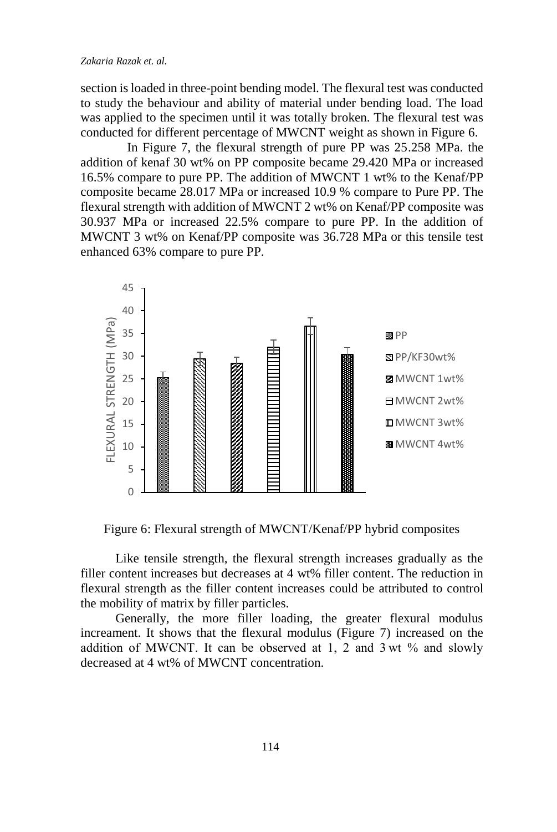#### *Zakaria Razak et. al.*

section is loaded in three-point bending model. The flexural test was conducted to study the behaviour and ability of material under bending load. The load was applied to the specimen until it was totally broken. The flexural test was conducted for different percentage of MWCNT weight as shown in Figure 6.

In Figure 7, the flexural strength of pure PP was 25.258 MPa. the addition of kenaf 30 wt% on PP composite became 29.420 MPa or increased 16.5% compare to pure PP. The addition of MWCNT 1 wt% to the Kenaf/PP composite became 28.017 MPa or increased 10.9 % compare to Pure PP. The flexural strength with addition of MWCNT 2 wt% on Kenaf/PP composite was 30.937 MPa or increased 22.5% compare to pure PP. In the addition of MWCNT 3 wt% on Kenaf/PP composite was 36.728 MPa or this tensile test enhanced 63% compare to pure PP.



Figure 6: Flexural strength of MWCNT/Kenaf/PP hybrid composites

Like tensile strength, the flexural strength increases gradually as the filler content increases but decreases at 4 wt% filler content. The reduction in flexural strength as the filler content increases could be attributed to control the mobility of matrix by filler particles.

Generally, the more filler loading, the greater flexural modulus increament. It shows that the flexural modulus (Figure 7) increased on the addition of MWCNT. It can be observed at 1, 2 and 3 wt % and slowly decreased at 4 wt% of MWCNT concentration.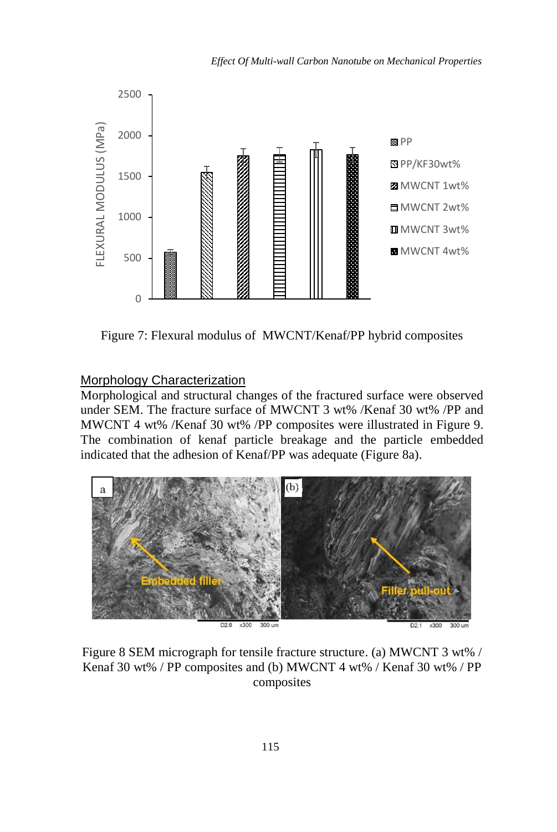

Figure 7: Flexural modulus of MWCNT/Kenaf/PP hybrid composites

#### Morphology Characterization

Morphological and structural changes of the fractured surface were observed under SEM. The fracture surface of MWCNT 3 wt% /Kenaf 30 wt% /PP and MWCNT 4 wt% /Kenaf 30 wt% /PP composites were illustrated in Figure 9. The combination of kenaf particle breakage and the particle embedded indicated that the adhesion of Kenaf/PP was adequate (Figure 8a).



Figure 8 SEM micrograph for tensile fracture structure. (a) MWCNT 3 wt% / Kenaf 30 wt% / PP composites and (b) MWCNT 4 wt% / Kenaf 30 wt% / PP composites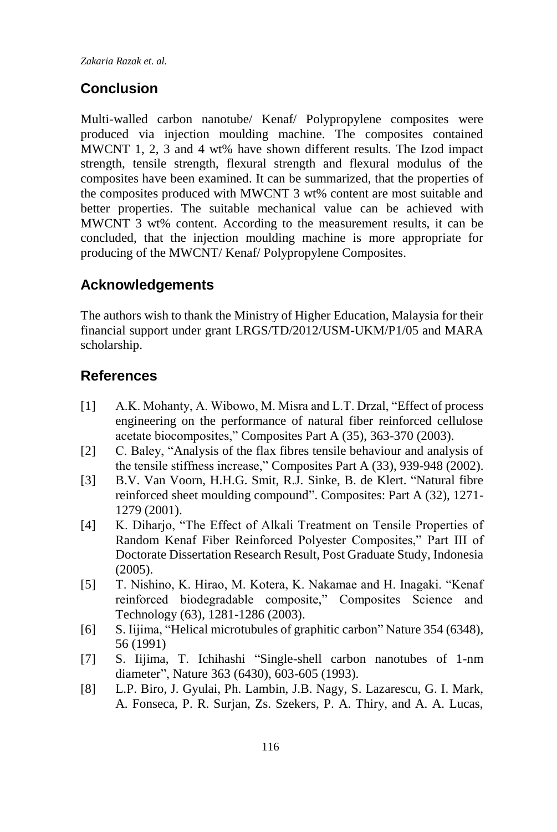*Zakaria Razak et. al.*

# **Conclusion**

Multi-walled carbon nanotube/ Kenaf/ Polypropylene composites were produced via injection moulding machine. The composites contained MWCNT 1, 2, 3 and 4 wt% have shown different results. The Izod impact strength, tensile strength, flexural strength and flexural modulus of the composites have been examined. It can be summarized, that the properties of the composites produced with MWCNT 3 wt% content are most suitable and better properties. The suitable mechanical value can be achieved with MWCNT 3 wt% content. According to the measurement results, it can be concluded, that the injection moulding machine is more appropriate for producing of the MWCNT/ Kenaf/ Polypropylene Composites.

## **Acknowledgements**

The authors wish to thank the Ministry of Higher Education, Malaysia for their financial support under grant LRGS/TD/2012/USM-UKM/P1/05 and MARA scholarship.

## **References**

- [1] A.K. Mohanty, A. Wibowo, M. Misra and L.T. Drzal, "Effect of process engineering on the performance of natural fiber reinforced cellulose acetate biocomposites," Composites Part A (35), 363-370 (2003).
- [2] C. Baley, "Analysis of the flax fibres tensile behaviour and analysis of the tensile stiffness increase," Composites Part A (33), 939-948 (2002).
- [3] B.V. Van Voorn, H.H.G. Smit, R.J. Sinke, B. de Klert. "Natural fibre reinforced sheet moulding compound". Composites: Part A (32), 1271- 1279 (2001).
- [4] K. Diharjo, "The Effect of Alkali Treatment on Tensile Properties of Random Kenaf Fiber Reinforced Polyester Composites," Part III of Doctorate Dissertation Research Result, Post Graduate Study, Indonesia (2005).
- [5] T. Nishino, K. Hirao, M. Kotera, K. Nakamae and H. Inagaki. "Kenaf reinforced biodegradable composite," Composites Science and Technology (63), 1281-1286 (2003).
- [6] S. Iijima, ["Helical microtubules of graphitic carbon"](https://scholar.google.com/citations?view_op=view_citation&hl=en&user=r64xL9sAAAAJ&citation_for_view=r64xL9sAAAAJ:u5HHmVD_uO8C) Nature 354 (6348), 56 (1991)
- [7] S. Iijima, T. Ichihashi ["Single-shell carbon nanotubes of 1-nm](http://www.nature.com/nature/journal/v363/n6430/abs/363603a0.html)  [diameter"](http://www.nature.com/nature/journal/v363/n6430/abs/363603a0.html), Nature 363 (6430), 603-605 (1993).
- [8] L.P. Biro, J. Gyulai, Ph. Lambin, J.B. Nagy, S. Lazarescu, G. I. Mark, A. Fonseca, P. R. Surjan, Zs. Szekers, P. A. Thiry, and A. A. Lucas,